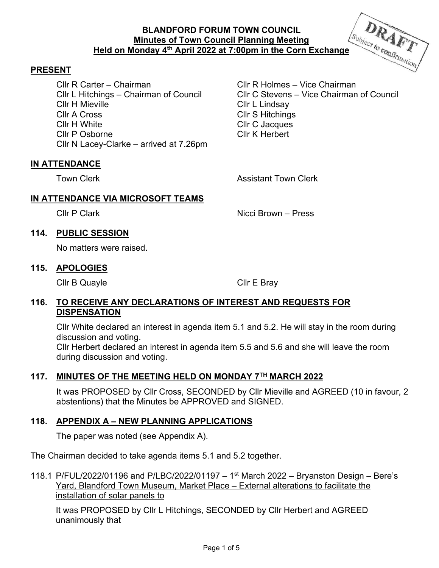# **BLANDFORD FORUM TOWN COUNCIL Minutes of Town Council Planning Meeting Held on Monday 4<sup>th</sup> April 2022 at 7:00pm in the Corn Exchange Held on Monday 4<sup>th</sup> April 2022 at 7:00pm in the Corn Exchange**



Cllr R Carter – Chairman Cllr R Holmes – Vice Chairman Cllr H Mieville **Cllr L** Lindsay Cllr A Cross Cllr S Hitchings Cllr H White Cllr C Jacques Cllr P Osborne Cllr K Herbert Cllr N Lacey-Clarke – arrived at 7.26pm

Cllr L Hitchings – Chairman of Council Cllr C Stevens – Vice Chairman of Council

DRAFT

### **IN ATTENDANCE**

Town Clerk **Assistant Town Clerk Assistant Town Clerk** 

## **IN ATTENDANCE VIA MICROSOFT TEAMS**

Cllr P Clark **Nicci Brown** – Press

## **114. PUBLIC SESSION**

No matters were raised.

### **115. APOLOGIES**

Cllr B Quayle Cllr E Bray

### **116. TO RECEIVE ANY DECLARATIONS OF INTEREST AND REQUESTS FOR DISPENSATION**

Cllr White declared an interest in agenda item 5.1 and 5.2. He will stay in the room during discussion and voting.

Cllr Herbert declared an interest in agenda item 5.5 and 5.6 and she will leave the room during discussion and voting.

### **117. MINUTES OF THE MEETING HELD ON MONDAY 7TH MARCH 2022**

It was PROPOSED by Cllr Cross, SECONDED by Cllr Mieville and AGREED (10 in favour, 2 abstentions) that the Minutes be APPROVED and SIGNED.

# **118. APPENDIX A – NEW PLANNING APPLICATIONS**

The paper was noted (see Appendix A).

The Chairman decided to take agenda items 5.1 and 5.2 together.

118.1 P/FUL/2022/01196 and P/LBC/2022/01197 – 1<sup>st</sup> March 2022 – Bryanston Design – Bere's Yard, Blandford Town Museum, Market Place – External alterations to facilitate the installation of solar panels to

It was PROPOSED by Cllr L Hitchings, SECONDED by Cllr Herbert and AGREED unanimously that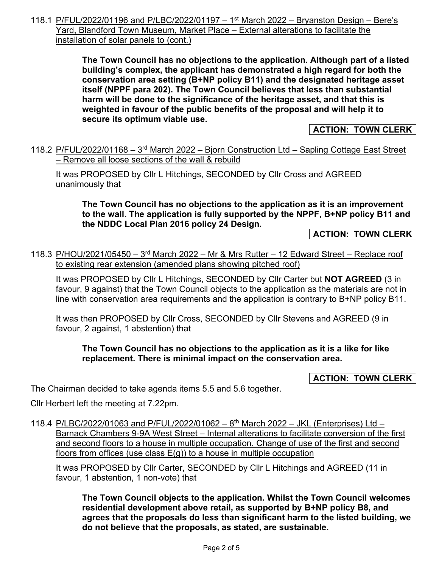118.1 P/FUL/2022/01196 and P/LBC/2022/01197 – 1<sup>st</sup> March 2022 – Bryanston Design – Bere's Yard, Blandford Town Museum, Market Place – External alterations to facilitate the installation of solar panels to (cont.)

> **The Town Council has no objections to the application. Although part of a listed building's complex, the applicant has demonstrated a high regard for both the conservation area setting (B+NP policy B11) and the designated heritage asset itself (NPPF para 202). The Town Council believes that less than substantial harm will be done to the significance of the heritage asset, and that this is weighted in favour of the public benefits of the proposal and will help it to secure its optimum viable use.**

> > **ACTION: TOWN CLERK**

118.2 P/FUL/2022/01168 – 3rd March 2022 – Bjorn Construction Ltd – Sapling Cottage East Street – Remove all loose sections of the wall & rebuild

It was PROPOSED by Cllr L Hitchings, SECONDED by Cllr Cross and AGREED unanimously that

**The Town Council has no objections to the application as it is an improvement to the wall. The application is fully supported by the NPPF, B+NP policy B11 and the NDDC Local Plan 2016 policy 24 Design.** 

**ACTION: TOWN CLERK** 

118.3 P/HOU/2021/05450 –  $3<sup>rd</sup>$  March 2022 – Mr & Mrs Rutter – 12 Edward Street – Replace roof to existing rear extension (amended plans showing pitched roof)

It was PROPOSED by Cllr L Hitchings, SECONDED by Cllr Carter but **NOT AGREED** (3 in favour, 9 against) that the Town Council objects to the application as the materials are not in line with conservation area requirements and the application is contrary to B+NP policy B11.

It was then PROPOSED by Cllr Cross, SECONDED by Cllr Stevens and AGREED (9 in favour, 2 against, 1 abstention) that

## **The Town Council has no objections to the application as it is a like for like replacement. There is minimal impact on the conservation area.**

**ACTION: TOWN CLERK** 

The Chairman decided to take agenda items 5.5 and 5.6 together.

Cllr Herbert left the meeting at 7.22pm.

118.4 P/LBC/2022/01063 and P/FUL/2022/01062 - 8<sup>th</sup> March 2022 - JKL (Enterprises) Ltd -Barnack Chambers 9-9A West Street – Internal alterations to facilitate conversion of the first and second floors to a house in multiple occupation. Change of use of the first and second floors from offices (use class  $E(g)$ ) to a house in multiple occupation

It was PROPOSED by Cllr Carter, SECONDED by Cllr L Hitchings and AGREED (11 in favour, 1 abstention, 1 non-vote) that

**The Town Council objects to the application. Whilst the Town Council welcomes residential development above retail, as supported by B+NP policy B8, and agrees that the proposals do less than significant harm to the listed building, we do not believe that the proposals, as stated, are sustainable.**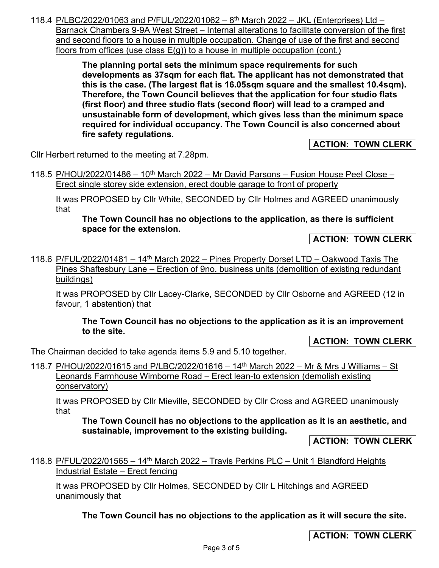118.4 P/LBC/2022/01063 and P/FUL/2022/01062 - 8<sup>th</sup> March 2022 - JKL (Enterprises) Ltd -Barnack Chambers 9-9A West Street – Internal alterations to facilitate conversion of the first and second floors to a house in multiple occupation. Change of use of the first and second floors from offices (use class E(g)) to a house in multiple occupation (cont.)

> **The planning portal sets the minimum space requirements for such developments as 37sqm for each flat. The applicant has not demonstrated that this is the case. (The largest flat is 16.05sqm square and the smallest 10.4sqm). Therefore, the Town Council believes that the application for four studio flats (first floor) and three studio flats (second floor) will lead to a cramped and unsustainable form of development, which gives less than the minimum space required for individual occupancy. The Town Council is also concerned about fire safety regulations.**

> > **ACTION: TOWN CLERK**

Cllr Herbert returned to the meeting at 7.28pm.

118.5 P/HOU/2022/01486 – 10<sup>th</sup> March 2022 – Mr David Parsons – Fusion House Peel Close – Erect single storey side extension, erect double garage to front of property

It was PROPOSED by Cllr White, SECONDED by Cllr Holmes and AGREED unanimously that

**The Town Council has no objections to the application, as there is sufficient space for the extension.** 

**ACTION: TOWN CLERK** 

118.6 P/FUL/2022/01481 – 14th March 2022 – Pines Property Dorset LTD – Oakwood Taxis The Pines Shaftesbury Lane – Erection of 9no. business units (demolition of existing redundant buildings)

It was PROPOSED by Cllr Lacey-Clarke, SECONDED by Cllr Osborne and AGREED (12 in favour, 1 abstention) that

**The Town Council has no objections to the application as it is an improvement to the site.** 

**ACTION: TOWN CLERK** 

The Chairman decided to take agenda items 5.9 and 5.10 together.

118.7 P/HOU/2022/01615 and P/LBC/2022/01616 – 14<sup>th</sup> March 2022 – Mr & Mrs J Williams – St Leonards Farmhouse Wimborne Road – Erect lean-to extension (demolish existing conservatory)

It was PROPOSED by Cllr Mieville, SECONDED by Cllr Cross and AGREED unanimously that

**The Town Council has no objections to the application as it is an aesthetic, and sustainable, improvement to the existing building.** 

**ACTION: TOWN CLERK** 

118.8 P/FUL/2022/01565 - 14<sup>th</sup> March 2022 - Travis Perkins PLC - Unit 1 Blandford Heights Industrial Estate – Erect fencing

It was PROPOSED by Cllr Holmes, SECONDED by Cllr L Hitchings and AGREED unanimously that

**The Town Council has no objections to the application as it will secure the site.** 

# **ACTION: TOWN CLERK**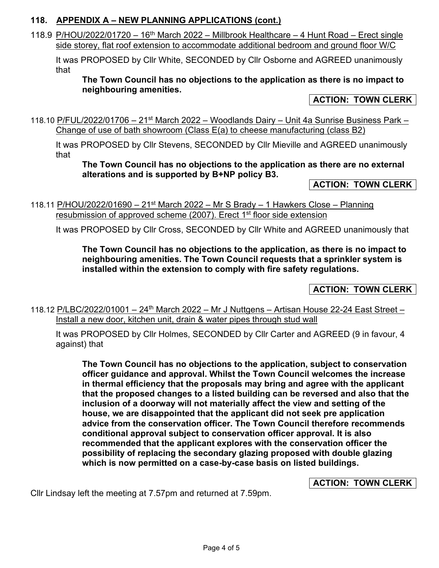# **118. APPENDIX A – NEW PLANNING APPLICATIONS (cont.)**

118.9 P/HOU/2022/01720 – 16<sup>th</sup> March 2022 – Millbrook Healthcare – 4 Hunt Road – Erect single side storey, flat roof extension to accommodate additional bedroom and ground floor W/C

It was PROPOSED by Cllr White, SECONDED by Cllr Osborne and AGREED unanimously that

**The Town Council has no objections to the application as there is no impact to neighbouring amenities.** 

## **ACTION: TOWN CLERK**

118.10 P/FUL/2022/01706 – 21<sup>st</sup> March 2022 – Woodlands Dairy – Unit 4a Sunrise Business Park – Change of use of bath showroom (Class E(a) to cheese manufacturing (class B2)

It was PROPOSED by Cllr Stevens, SECONDED by Cllr Mieville and AGREED unanimously that

**The Town Council has no objections to the application as there are no external alterations and is supported by B+NP policy B3.** 

### **ACTION: TOWN CLERK**

118.11 P/HOU/2022/01690 - 21<sup>st</sup> March 2022 - Mr S Brady - 1 Hawkers Close - Planning resubmission of approved scheme (2007). Erect 1<sup>st</sup> floor side extension

It was PROPOSED by Cllr Cross, SECONDED by Cllr White and AGREED unanimously that

**The Town Council has no objections to the application, as there is no impact to neighbouring amenities. The Town Council requests that a sprinkler system is installed within the extension to comply with fire safety regulations.** 

# **ACTION: TOWN CLERK**

118.12 P/LBC/2022/01001 – 24<sup>th</sup> March 2022 – Mr J Nuttgens – Artisan House 22-24 East Street – Install a new door, kitchen unit, drain & water pipes through stud wall

It was PROPOSED by Cllr Holmes, SECONDED by Cllr Carter and AGREED (9 in favour, 4 against) that

**The Town Council has no objections to the application, subject to conservation officer guidance and approval. Whilst the Town Council welcomes the increase in thermal efficiency that the proposals may bring and agree with the applicant that the proposed changes to a listed building can be reversed and also that the inclusion of a doorway will not materially affect the view and setting of the house, we are disappointed that the applicant did not seek pre application advice from the conservation officer. The Town Council therefore recommends conditional approval subject to conservation officer approval. It is also recommended that the applicant explores with the conservation officer the possibility of replacing the secondary glazing proposed with double glazing which is now permitted on a case-by-case basis on listed buildings.** 

**ACTION: TOWN CLERK** 

Cllr Lindsay left the meeting at 7.57pm and returned at 7.59pm.